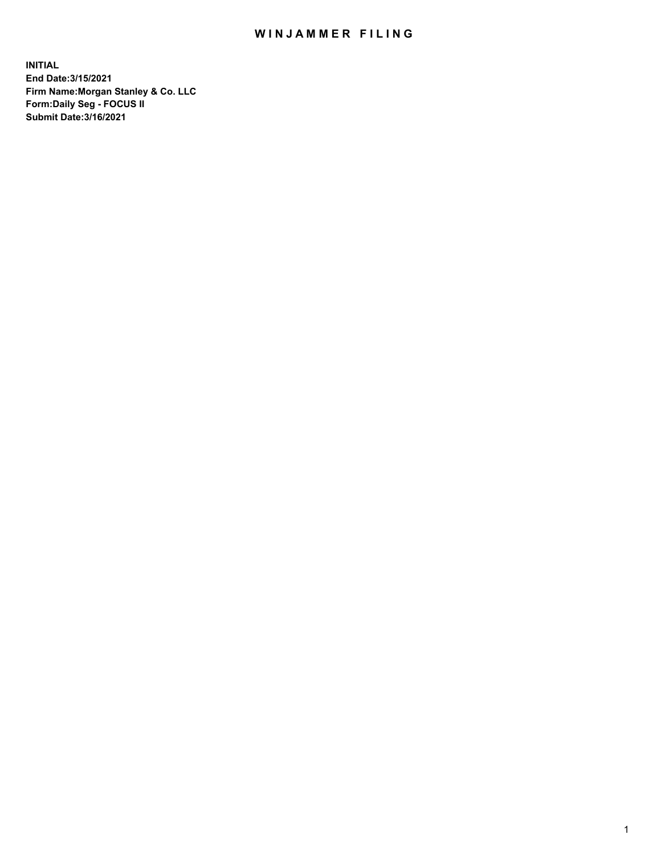## WIN JAMMER FILING

**INITIAL End Date:3/15/2021 Firm Name:Morgan Stanley & Co. LLC Form:Daily Seg - FOCUS II Submit Date:3/16/2021**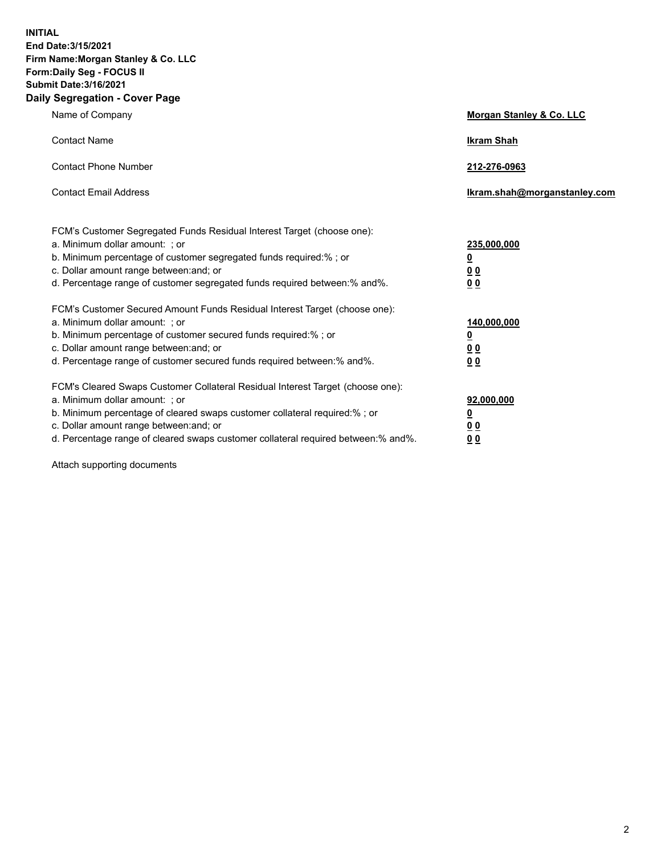**INITIAL End Date:3/15/2021 Firm Name:Morgan Stanley & Co. LLC Form:Daily Seg - FOCUS II Submit Date:3/16/2021 Daily Segregation - Cover Page**

| Name of Company                                                                                                                                                                                                                                                                                                                | <b>Morgan Stanley &amp; Co. LLC</b>                    |
|--------------------------------------------------------------------------------------------------------------------------------------------------------------------------------------------------------------------------------------------------------------------------------------------------------------------------------|--------------------------------------------------------|
| <b>Contact Name</b>                                                                                                                                                                                                                                                                                                            | <b>Ikram Shah</b>                                      |
| <b>Contact Phone Number</b>                                                                                                                                                                                                                                                                                                    | 212-276-0963                                           |
| <b>Contact Email Address</b>                                                                                                                                                                                                                                                                                                   | Ikram.shah@morganstanley.com                           |
| FCM's Customer Segregated Funds Residual Interest Target (choose one):<br>a. Minimum dollar amount: : or<br>b. Minimum percentage of customer segregated funds required:%; or<br>c. Dollar amount range between: and; or<br>d. Percentage range of customer segregated funds required between:% and%.                          | 235,000,000<br><u>0</u><br><u>00</u><br><u>00</u>      |
| FCM's Customer Secured Amount Funds Residual Interest Target (choose one):<br>a. Minimum dollar amount: ; or<br>b. Minimum percentage of customer secured funds required:%; or<br>c. Dollar amount range between: and; or<br>d. Percentage range of customer secured funds required between:% and%.                            | 140,000,000<br><u>0</u><br><u>00</u><br>0 <sub>0</sub> |
| FCM's Cleared Swaps Customer Collateral Residual Interest Target (choose one):<br>a. Minimum dollar amount: ; or<br>b. Minimum percentage of cleared swaps customer collateral required:% ; or<br>c. Dollar amount range between: and; or<br>d. Percentage range of cleared swaps customer collateral required between:% and%. | 92,000,000<br><u>0</u><br><u>00</u><br>00              |

Attach supporting documents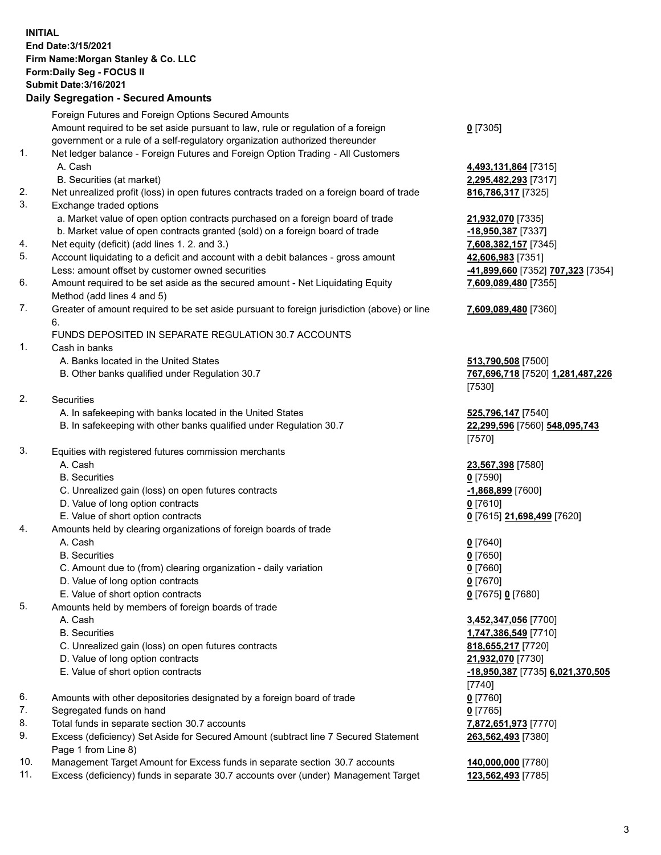## **INITIAL End Date:3/15/2021 Firm Name:Morgan Stanley & Co. LLC Form:Daily Seg - FOCUS II Submit Date:3/16/2021**

## **Daily Segregation - Secured Amounts**

Foreign Futures and Foreign Options Secured Amounts Amount required to be set aside pursuant to law, rule or regulation of a foreign government or a rule of a self-regulatory organization authorized thereunder 1. Net ledger balance - Foreign Futures and Foreign Option Trading - All Customers A. Cash **4,493,131,864** [7315] B. Securities (at market) **2,295,482,293** [7317] 2. Net unrealized profit (loss) in open futures contracts traded on a foreign board of trade **816,786,317** [7325] 3. Exchange traded options a. Market value of open option contracts purchased on a foreign board of trade **21,932,070** [7335] b. Market value of open contracts granted (sold) on a foreign board of trade **-18,950,387** [7337] 4. Net equity (deficit) (add lines 1. 2. and 3.) **7,608,382,157** [7345] 5. Account liquidating to a deficit and account with a debit balances - gross amount **42,606,983** [7351] Less: amount offset by customer owned securities **-41,899,660** [7352] **707,323** [7354] 6. Amount required to be set aside as the secured amount - Net Liquidating Equity Method (add lines 4 and 5) 7. Greater of amount required to be set aside pursuant to foreign jurisdiction (above) or line 6. FUNDS DEPOSITED IN SEPARATE REGULATION 30.7 ACCOUNTS 1. Cash in banks A. Banks located in the United States **513,790,508** [7500] B. Other banks qualified under Regulation 30.7 **767,696,718** [7520] **1,281,487,226** [7530] 2. Securities A. In safekeeping with banks located in the United States **525,796,147** [7540] B. In safekeeping with other banks qualified under Regulation 30.7 **22,299,596** [7560] **548,095,743** [7570] 3. Equities with registered futures commission merchants A. Cash **23,567,398** [7580] B. Securities **0** [7590] C. Unrealized gain (loss) on open futures contracts **-1,868,899** [7600] D. Value of long option contracts **0** [7610] E. Value of short option contracts **0** [7615] **21,698,499** [7620] 4. Amounts held by clearing organizations of foreign boards of trade A. Cash **0** [7640] B. Securities **0** [7650] C. Amount due to (from) clearing organization - daily variation **0** [7660] D. Value of long option contracts **0** [7670] E. Value of short option contracts **0** [7675] **0** [7680] 5. Amounts held by members of foreign boards of trade A. Cash **3,452,347,056** [7700] B. Securities **1,747,386,549** [7710] C. Unrealized gain (loss) on open futures contracts **818,655,217** [7720] D. Value of long option contracts **21,932,070** [7730] E. Value of short option contracts **-18,950,387** [7735] **6,021,370,505** [7740] 6. Amounts with other depositories designated by a foreign board of trade **0** [7760] 7. Segregated funds on hand **0** [7765] 8. Total funds in separate section 30.7 accounts **7,872,651,973** [7770] 9. Excess (deficiency) Set Aside for Secured Amount (subtract line 7 Secured Statement Page 1 from Line 8)

- 10. Management Target Amount for Excess funds in separate section 30.7 accounts **140,000,000** [7780]
- 11. Excess (deficiency) funds in separate 30.7 accounts over (under) Management Target **123,562,493** [7785]

**0** [7305]

**7,609,089,480** [7355]

## **7,609,089,480** [7360]

**263,562,493** [7380]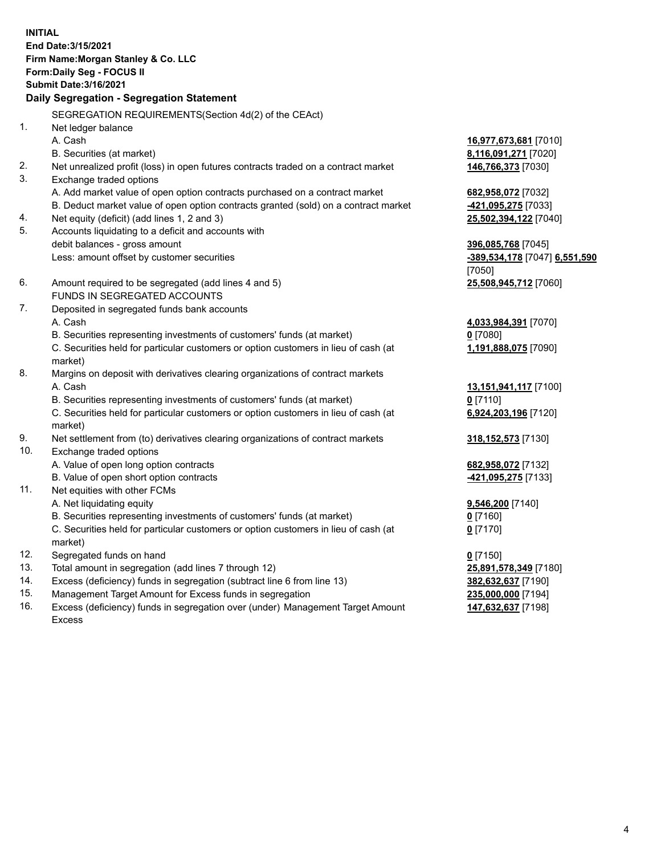**INITIAL End Date:3/15/2021 Firm Name:Morgan Stanley & Co. LLC Form:Daily Seg - FOCUS II Submit Date:3/16/2021 Daily Segregation - Segregation Statement** SEGREGATION REQUIREMENTS(Section 4d(2) of the CEAct) 1. Net ledger balance A. Cash **16,977,673,681** [7010] B. Securities (at market) **8,116,091,271** [7020] 2. Net unrealized profit (loss) in open futures contracts traded on a contract market **146,766,373** [7030] 3. Exchange traded options A. Add market value of open option contracts purchased on a contract market **682,958,072** [7032] B. Deduct market value of open option contracts granted (sold) on a contract market **-421,095,275** [7033] 4. Net equity (deficit) (add lines 1, 2 and 3) **25,502,394,122** [7040] 5. Accounts liquidating to a deficit and accounts with debit balances - gross amount **396,085,768** [7045] Less: amount offset by customer securities **-389,534,178** [7047] **6,551,590** [7050] 6. Amount required to be segregated (add lines 4 and 5) **25,508,945,712** [7060] FUNDS IN SEGREGATED ACCOUNTS 7. Deposited in segregated funds bank accounts A. Cash **4,033,984,391** [7070] B. Securities representing investments of customers' funds (at market) **0** [7080] C. Securities held for particular customers or option customers in lieu of cash (at market) **1,191,888,075** [7090] 8. Margins on deposit with derivatives clearing organizations of contract markets A. Cash **13,151,941,117** [7100] B. Securities representing investments of customers' funds (at market) **0** [7110] C. Securities held for particular customers or option customers in lieu of cash (at market) **6,924,203,196** [7120] 9. Net settlement from (to) derivatives clearing organizations of contract markets **318,152,573** [7130] 10. Exchange traded options A. Value of open long option contracts **682,958,072** [7132] B. Value of open short option contracts **-421,095,275** [7133] 11. Net equities with other FCMs A. Net liquidating equity **9,546,200** [7140] B. Securities representing investments of customers' funds (at market) **0** [7160] C. Securities held for particular customers or option customers in lieu of cash (at market) **0** [7170] 12. Segregated funds on hand **0** [7150] 13. Total amount in segregation (add lines 7 through 12) **25,891,578,349** [7180] 14. Excess (deficiency) funds in segregation (subtract line 6 from line 13) **382,632,637** [7190] 15. Management Target Amount for Excess funds in segregation **235,000,000** [7194]

16. Excess (deficiency) funds in segregation over (under) Management Target Amount Excess

**147,632,637** [7198]